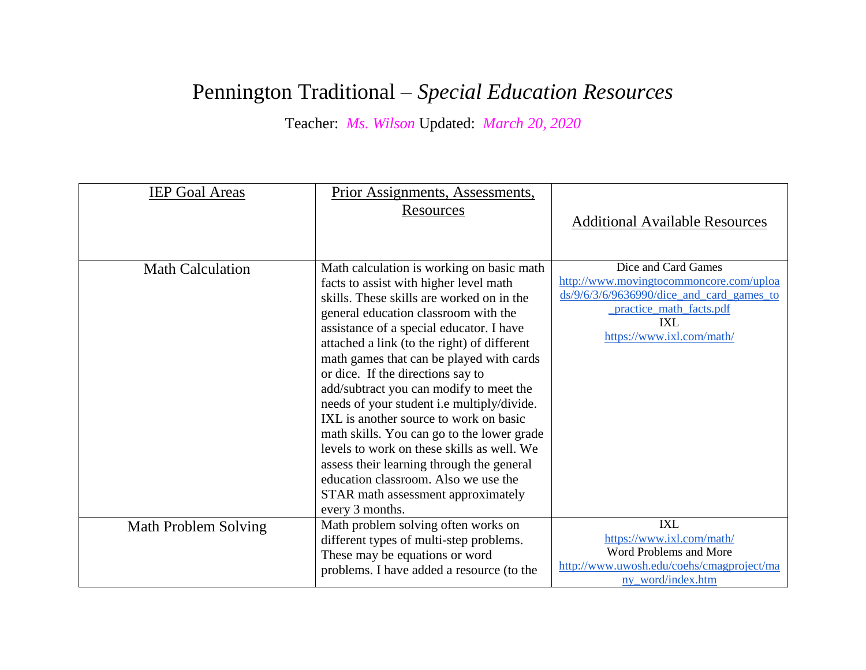## Pennington Traditional – *Special Education Resources*

Teacher: *Ms. Wilson* Updated: *March 20, 2020*

| <b>IEP Goal Areas</b>   | Prior Assignments, Assessments,<br>Resources                                                                                                                                                                                                                                                                                                                                                                                                                                                                                                                                                                                                                                                                                      | <b>Additional Available Resources</b>                                                                                                                                         |
|-------------------------|-----------------------------------------------------------------------------------------------------------------------------------------------------------------------------------------------------------------------------------------------------------------------------------------------------------------------------------------------------------------------------------------------------------------------------------------------------------------------------------------------------------------------------------------------------------------------------------------------------------------------------------------------------------------------------------------------------------------------------------|-------------------------------------------------------------------------------------------------------------------------------------------------------------------------------|
| <b>Math Calculation</b> | Math calculation is working on basic math<br>facts to assist with higher level math<br>skills. These skills are worked on in the<br>general education classroom with the<br>assistance of a special educator. I have<br>attached a link (to the right) of different<br>math games that can be played with cards<br>or dice. If the directions say to<br>add/subtract you can modify to meet the<br>needs of your student i.e multiply/divide.<br>IXL is another source to work on basic<br>math skills. You can go to the lower grade<br>levels to work on these skills as well. We<br>assess their learning through the general<br>education classroom. Also we use the<br>STAR math assessment approximately<br>every 3 months. | Dice and Card Games<br>http://www.movingtocommoncore.com/uploa<br>$ds/9/6/3/6/9636990$ /dice and card games to<br>practice math facts.pdf<br>IXL<br>https://www.ixl.com/math/ |
| Math Problem Solving    | Math problem solving often works on<br>different types of multi-step problems.<br>These may be equations or word<br>problems. I have added a resource (to the                                                                                                                                                                                                                                                                                                                                                                                                                                                                                                                                                                     | <b>IXL</b><br>https://www.ixl.com/math/<br>Word Problems and More<br>http://www.uwosh.edu/coehs/cmagproject/ma<br>ny word/index.htm                                           |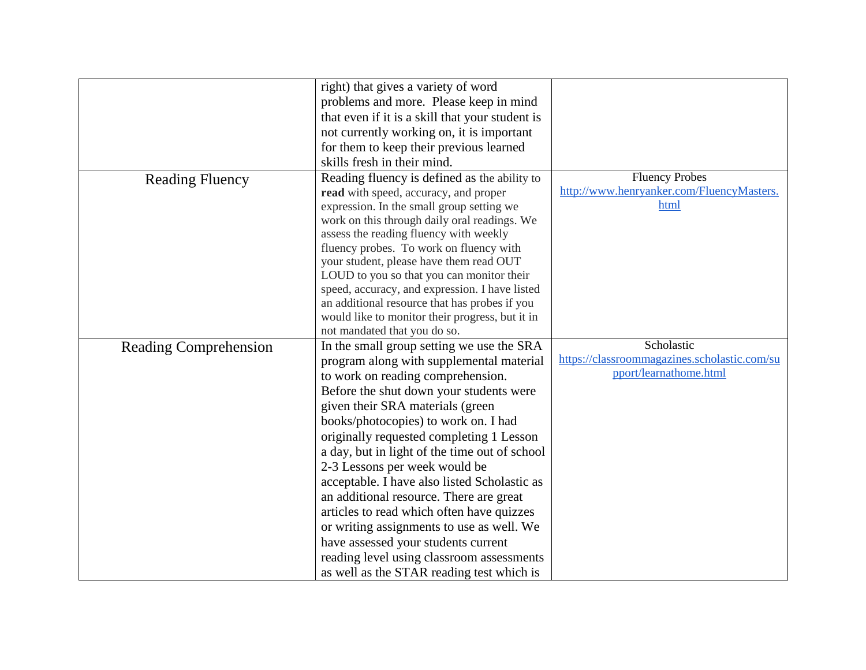|                              | right) that gives a variety of word             |                                              |
|------------------------------|-------------------------------------------------|----------------------------------------------|
|                              | problems and more. Please keep in mind          |                                              |
|                              | that even if it is a skill that your student is |                                              |
|                              | not currently working on, it is important       |                                              |
|                              | for them to keep their previous learned         |                                              |
|                              | skills fresh in their mind.                     |                                              |
| <b>Reading Fluency</b>       | Reading fluency is defined as the ability to    | <b>Fluency Probes</b>                        |
|                              | read with speed, accuracy, and proper           | http://www.henryanker.com/FluencyMasters.    |
|                              | expression. In the small group setting we       | html                                         |
|                              | work on this through daily oral readings. We    |                                              |
|                              | assess the reading fluency with weekly          |                                              |
|                              | fluency probes. To work on fluency with         |                                              |
|                              | your student, please have them read OUT         |                                              |
|                              | LOUD to you so that you can monitor their       |                                              |
|                              | speed, accuracy, and expression. I have listed  |                                              |
|                              | an additional resource that has probes if you   |                                              |
|                              | would like to monitor their progress, but it in |                                              |
|                              | not mandated that you do so.                    |                                              |
| <b>Reading Comprehension</b> | In the small group setting we use the SRA       | Scholastic                                   |
|                              | program along with supplemental material        | https://classroommagazines.scholastic.com/su |
|                              | to work on reading comprehension.               | pport/learnathome.html                       |
|                              | Before the shut down your students were         |                                              |
|                              | given their SRA materials (green                |                                              |
|                              | books/photocopies) to work on. I had            |                                              |
|                              | originally requested completing 1 Lesson        |                                              |
|                              | a day, but in light of the time out of school   |                                              |
|                              | 2-3 Lessons per week would be                   |                                              |
|                              | acceptable. I have also listed Scholastic as    |                                              |
|                              | an additional resource. There are great         |                                              |
|                              | articles to read which often have quizzes       |                                              |
|                              | or writing assignments to use as well. We       |                                              |
|                              | have assessed your students current             |                                              |
|                              | reading level using classroom assessments       |                                              |
|                              | as well as the STAR reading test which is       |                                              |